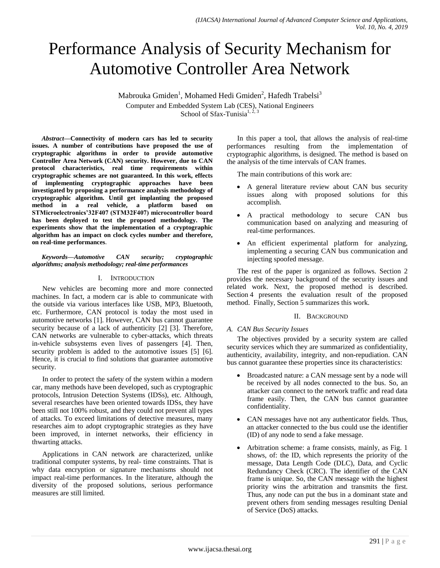# Performance Analysis of Security Mechanism for Automotive Controller Area Network

Mabrouka Gmiden<sup>1</sup>, Mohamed Hedi Gmiden<sup>2</sup>, Hafedh Trabelsi<sup>3</sup> Computer and Embedded System Lab (CES), National Engineers School of Sfax-Tunisia<sup>1, 2, 3</sup>

*Abstract***—Connectivity of modern cars has led to security issues. A number of contributions have proposed the use of cryptographic algorithms in order to provide automotive Controller Area Network (CAN) security. However, due to CAN protocol characteristics, real time requirements within cryptographic schemes are not guaranteed. In this work, effects of implementing cryptographic approaches have been investigated by proposing a performance analysis methodology of cryptographic algorithm. Until get implanting the proposed method in a real vehicle, a platform based on STMicroelectronics'32F407 (STM32F407) microcontroller board has been deployed to test the proposed methodology. The experiments show that the implementation of a cryptographic algorithm has an impact on clock cycles number and therefore, on real-time performances.**

*Keywords—Automotive CAN security; cryptographic algorithms; analysis methodology; real-time performances*

## I. INTRODUCTION

New vehicles are becoming more and more connected machines. In fact, a modern car is able to communicate with the outside via various interfaces like USB, MP3, Bluetooth, etc. Furthermore, CAN protocol is today the most used in automotive networks [1]. However, CAN bus cannot guarantee security because of a lack of authenticity [2] [3]. Therefore, CAN networks are vulnerable to cyber-attacks, which threats in-vehicle subsystems even lives of passengers [4]. Then, security problem is added to the automotive issues [5] [6]. Hence, it is crucial to find solutions that guarantee automotive security.

In order to protect the safety of the system within a modern car, many methods have been developed, such as cryptographic protocols, Intrusion Detection Systems (IDSs), etc. Although, several researches have been oriented towards IDSs, they have been still not 100% robust, and they could not prevent all types of attacks. To exceed limitations of detective measures, many researches aim to adopt cryptographic strategies as they have been improved, in internet networks, their efficiency in thwarting attacks.

Applications in CAN network are characterized, unlike traditional computer systems, by real- time constraints. That is why data encryption or signature mechanisms should not impact real-time performances. In the literature, although the diversity of the proposed solutions, serious performance measures are still limited.

In this paper a tool, that allows the analysis of real-time performances resulting from the implementation of cryptographic algorithms, is designed. The method is based on the analysis of the time intervals of CAN frames.

The main contributions of this work are:

- A general literature review about CAN bus security issues along with proposed solutions for this accomplish.
- A practical methodology to secure CAN bus communication based on analyzing and measuring of real-time performances.
- An efficient experimental platform for analyzing, implementing a securing CAN bus communication and injecting spoofed message.

The rest of the paper is organized as follows. Section 2 provides the necessary background of the security issues and related work. Next, the proposed method is described. Section 4 presents the evaluation result of the proposed method. Finally, Section 5 summarizes this work.

### II. BACKGROUND

## *A. CAN Bus Security Issues*

The objectives provided by a security system are called security services which they are summarized as confidentiality, authenticity, availability, integrity, and non-repudiation. CAN bus cannot guarantee these properties since its characteristics:

- Broadcasted nature: a CAN message sent by a node will be received by all nodes connected to the bus. So, an attacker can connect to the network traffic and read data frame easily. Then, the CAN bus cannot guarantee confidentiality.
- CAN messages have not any authenticator fields. Thus, an attacker connected to the bus could use the identifier (ID) of any node to send a fake message.
- Arbitration scheme: a frame consists, mainly, as Fig. 1 shows, of: the ID, which represents the priority of the message, Data Length Code (DLC), Data, and Cyclic Redundancy Check (CRC). The identifier of the CAN frame is unique. So, the CAN message with the highest priority wins the arbitration and transmits the first. Thus, any node can put the bus in a dominant state and prevent others from sending messages resulting Denial of Service (DoS) attacks.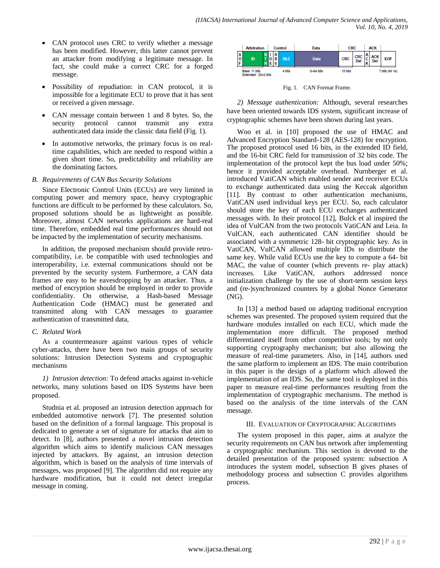- CAN protocol uses CRC to verify whether a message has been modified. However, this latter cannot prevent an attacker from modifying a legitimate message. In fact, she could make a correct CRC for a forged message.
- Possibility of repudiation: in CAN protocol, it is impossible for a legitimate ECU to prove that it has sent or received a given message.
- CAN message contain between 1 and 8 bytes. So, the security protocol cannot transmit any extra authenticated data inside the classic data field (Fig. 1).
- In automotive networks, the primary focus is on realtime capabilities, which are needed to respond within a given short time. So, predictability and reliability are the dominating factors.

## *B. Requirements of CAN Bus Security Solutions*

Since Electronic Control Units (ECUs) are very limited in computing power and memory space, heavy cryptographic functions are difficult to be performed by these calculators. So, proposed solutions should be as lightweight as possible. Moreover, almost CAN networks applications are hard-real time. Therefore, embedded real time performances should not be impacted by the implementation of security mechanisms.

In addition, the proposed mechanism should provide retrocompatibility, i.e. be compatible with used technologies and interoperability, i.e. external communications should not be prevented by the security system. Furthermore, a CAN data frames are easy to be eavesdropping by an attacker. Thus, a method of encryption should be employed in order to provide confidentiality. On otherwise, a Hash-based Message Authentication Code (HMAC) must be generated and transmitted along with CAN messages to guarantee authentication of transmitted data,

### *C. Related Work*

As a countermeasure against various types of vehicle cyber-attacks, there have been two main groups of security solutions: Intrusion Detection Systems and cryptographic mechanisms

*1) Intrusion detection:* To defend attacks against in-vehicle networks, many solutions based on IDS Systems have been proposed.

Studnia et al. proposed an intrusion detection approach for embedded automotive network [7]. The presented solution based on the definition of a formal language. This proposal is dedicated to generate a set of signature for attacks that aim to detect. In [8], authors presented a novel intrusion detection algorithm which aims to identify malicious CAN messages injected by attackers. By against, an intrusion detection algorithm, which is based on the analysis of time intervals of messages, was proposed [9]. The algorithm did not require any hardware modification, but it could not detect irregular message in coming.



Fig. 1. CAN Format Frame.

*2) Message authentication:* Although, several researches have been oriented towards IDS system, significant increase of cryptographic schemes have been shown during last years.

Woo et al. in [10] proposed the use of HMAC and Advanced Encryption Standard-128 (AES-128) for encryption. The proposed protocol used 16 bits, in the extended ID field, and the 16-bit CRC field for transmission of 32 bits code. The implementation of the protocol kept the bus load under 50%; hence it provided acceptable overhead. Nurnberger et al. introduced VatiCAN which enabled sender and receiver ECUs to exchange authenticated data using the Keccak algorithm [11]. By contrast to other authentication mechanisms, VatiCAN used individual keys per ECU. So, each calculator should store the key of each ECU exchanges authenticated messages with. In their protocol [12], Bulck et al inspired the idea of VulCAN from the two protocols VatiCAN and Leia. In VulCAN, each authenticated CAN identifier should be associated with a symmetric 128- bit cryptographic key. As in VatiCAN, VulCAN allowed multiple IDs to distribute the same key. While valid ECUs use the key to compute a 64- bit MAC, the value of counter (which prevents re- play attack) increases. Like VatiCAN, authors addressed nonce initialization challenge by the use of short-term session keys and (re-)synchronized counters by a global Nonce Generator (NG).

In [13] a method based on adapting traditional encryption schemes was presented. The proposed system required that the hardware modules installed on each ECU, which made the implementation more difficult. The proposed method differentiated itself from other competitive tools; by not only supporting cryptography mechanism; but also allowing the measure of real-time parameters. Also, in [14], authors used the same platform to implement an IDS. The main contribution in this paper is the design of a platform which allowed the implementation of an IDS. So, the same tool is deployed in this paper to measure real-time performances resulting from the implementation of cryptographic mechanisms. The method is based on the analysis of the time intervals of the CAN message.

### III. EVALUATION OF CRYPTOGRAPHIC ALGORITHMS

The system proposed in this paper, aims at analyze the security requirements on CAN bus network after implementing a cryptographic mechanism. This section is devoted to the detailed presentation of the proposed system: subsection A introduces the system model, subsection B gives phases of methodology process and subsection C provides algorithms process.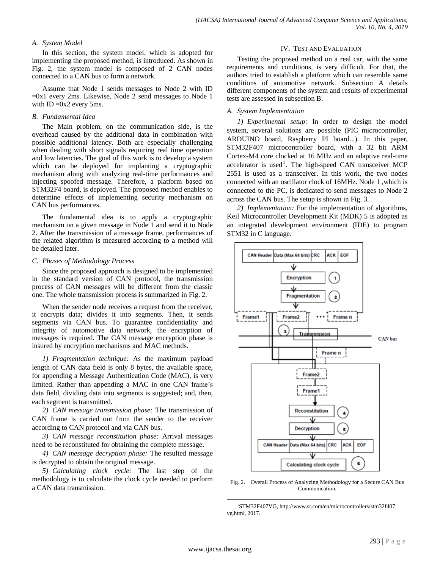## *A. System Model*

In this section, the system model, which is adopted for implementing the proposed method, is introduced. As shown in Fig. 2, the system model is composed of 2 CAN nodes connected to a CAN bus to form a network.

Assume that Node 1 sends messages to Node 2 with ID  $=0x1$  every 2ms. Likewise, Node 2 send messages to Node 1 with  $ID = 0x2$  every 5ms.

#### *B. Fundamental Idea*

The Main problem, on the communication side, is the overhead caused by the additional data in combination with possible additional latency. Both are especially challenging when dealing with short signals requiring real time operation and low latencies. The goal of this work is to develop a system which can be deployed for implanting a cryptographic mechanism along with analyzing real-time performances and injecting spoofed message. Therefore, a platform based on STM32F4 board, is deployed. The proposed method enables to determine effects of implementing security mechanism on CAN bus performances.

The fundamental idea is to apply a cryptographic mechanism on a given message in Node 1 and send it to Node 2. After the transmission of a message frame, performances of the related algorithm is measured according to a method will be detailed later.

#### *C. Phases of Methodology Process*

Since the proposed approach is designed to be implemented in the standard version of CAN protocol, the transmission process of CAN messages will be different from the classic one. The whole transmission process is summarized in Fig. 2.

When the sender node receives a request from the receiver, it encrypts data; divides it into segments. Then, it sends segments via CAN bus. To guarantee confidentiality and integrity of automotive data network, the encryption of messages is required. The CAN message encryption phase is insured by encryption mechanisms and MAC methods.

*1) Fragmentation technique:* As the maximum payload length of CAN data field is only 8 bytes, the available space, for appending a Message Authentication Code (MAC), is very limited. Rather than appending a MAC in one CAN frame's data field, dividing data into segments is suggested; and, then, each segment is transmitted.

*2) CAN message transmission phase:* The transmission of CAN frame is carried out from the sender to the receiver according to CAN protocol and via CAN bus.

*3) CAN message reconstitution phase:* Arrival messages need to be reconstituted for obtaining the complete message.

*4) CAN message decryption phase:* The resulted message is decrypted to obtain the original message.

*5) Calculating clock cycle:* The last step of the methodology is to calculate the clock cycle needed to perform a CAN data transmission.

#### IV. TEST AND EVALUATION

Testing the proposed method on a real car, with the same requirements and conditions, is very difficult. For that, the authors tried to establish a platform which can resemble same conditions of automotive network. Subsection A details different components of the system and results of experimental tests are assessed in subsection B.

#### *A. System Implementation*

*1) Experimental setup:* In order to design the model system, several solutions are possible (PIC microcontroller, ARDUINO board, Raspberry PI board...). In this paper, STM32F407 microcontroller board, with a 32 bit ARM Cortex-M4 core clocked at 16 MHz and an adaptive real-time accelerator is used<sup>1</sup>. The high-speed CAN transceiver MCP 2551 is used as a transceiver. In this work, the two nodes connected with an oscillator clock of 16MHz. Node 1 ,which is connected to the PC, is dedicated to send messages to Node 2 across the CAN bus. The setup is shown in Fig. 3.

*2) Implementation:* For the implementation of algorithms, Keil Microcontroller Development Kit (MDK) 5 is adopted as an integrated development environment (IDE) to program STM32 in C language.



Fig. 2. Overall Process of Analyzing Methodology for a Secure CAN Bus Communication.

 $\overline{a}$ 

<sup>1</sup> STM32F407VG, http://www.st.com/en/microcontrollers/stm32f407 vg.html, 2017.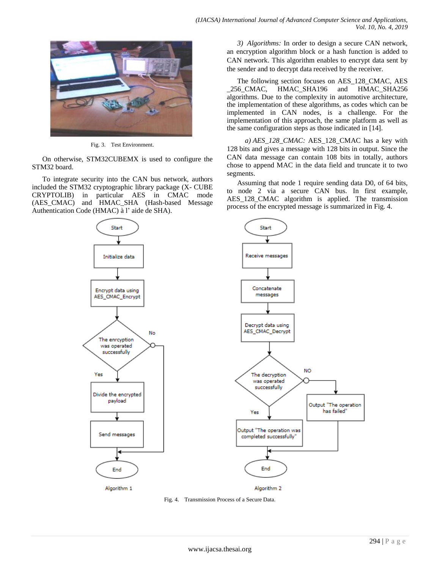

Fig. 3. Test Environment.

On otherwise, STM32CUBEMX is used to configure the STM32 board.

To integrate security into the CAN bus network, authors included the STM32 cryptographic library package (X- CUBE CRYPTOLIB) in particular AES in CMAC mode (AES\_CMAC) and HMAC\_SHA (Hash-based Message Authentication Code (HMAC) à l' aide de SHA).

Start Initialize data Encrypt data using AES\_CMAC\_Encrypt No The enrcyption was operated successfully Yes Divide the encrypted payload Send messages End Algorithm 1

*3) Algorithms:* In order to design a secure CAN network, an encryption algorithm block or a hash function is added to CAN network. This algorithm enables to encrypt data sent by the sender and to decrypt data received by the receiver.

The following section focuses on AES\_128\_CMAC, AES \_256\_CMAC, HMAC\_SHA196 and HMAC\_SHA256 algorithms. Due to the complexity in automotive architecture, the implementation of these algorithms, as codes which can be implemented in CAN nodes, is a challenge. For the implementation of this approach, the same platform as well as the same configuration steps as those indicated in [14].

*a) AES\_128\_CMAC:* AES\_128\_CMAC has a key with 128 bits and gives a message with 128 bits in output. Since the CAN data message can contain 108 bits in totally, authors chose to append MAC in the data field and truncate it to two segments.

Assuming that node 1 require sending data D0, of 64 bits, to node 2 via a secure CAN bus. In first example, AES 128 CMAC algorithm is applied. The transmission process of the encrypted message is summarized in Fig. 4.



Fig. 4. Transmission Process of a Secure Data.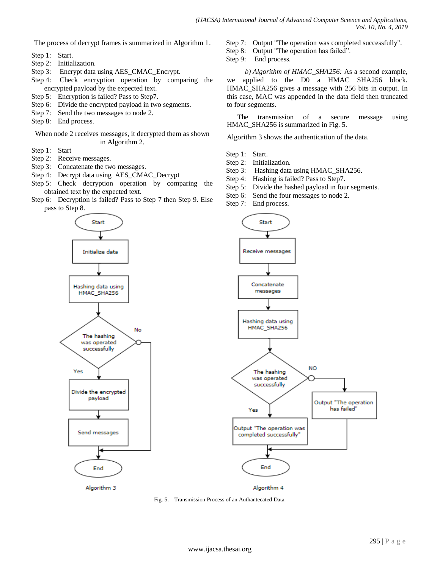The process of decrypt frames is summarized in Algorithm 1.

- Step 1: Start.
- Step 2: Initialization.
- Step 3: Encrypt data using AES CMAC Encrypt.
- Step 4: Check encryption operation by comparing the encrypted payload by the expected text.
- Step 5: Encryption is failed? Pass to Step7.
- Step 6: Divide the encrypted payload in two segments.
- Step 7: Send the two messages to node 2.
- Step 8: End process.

When node 2 receives messages, it decrypted them as shown in Algorithm 2.

- Step 1: Start
- Step 2: Receive messages.
- Step 3: Concatenate the two messages.
- Step 4: Decrypt data using AES\_CMAC\_Decrypt
- Step 5: Check decryption operation by comparing the obtained text by the expected text.
- Step 6: Decryption is failed? Pass to Step 7 then Step 9. Else pass to Step 8.

Start Initialize data Hashing data using HMAC\_SHA256 No The hashing was operated successfully Yes Divide the encrypted payload Send messages ∢ End Algorithm 3

Step 7: Output "The operation was completed successfully". Step 8: Output "The operation has failed".

Step 9: End process.

*b) Algorithm of HMAC\_SHA256:* As a second example, we applied to the D0 a HMAC SHA256 block. HMAC\_SHA256 gives a message with 256 bits in output. In this case, MAC was appended in the data field then truncated to four segments.

The transmission of a secure message using HMAC\_SHA256 is summarized in Fig. 5.

Algorithm 3 shows the authentication of the data.

- Step 1: Start.
- Step 2: Initialization.
- Step 3: Hashing data using HMAC\_SHA256.
- Step 4: Hashing is failed? Pass to Step7.
- Step 5: Divide the hashed payload in four segments.
- Step 6: Send the four messages to node 2.
- Step 7: End process.



Fig. 5. Transmission Process of an Authantecated Data.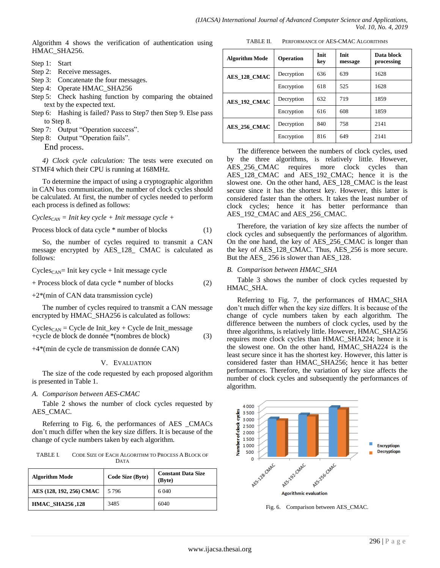Algorithm 4 shows the verification of authentication using HMAC\_SHA256.

- Step 1: Start
- Step 2: Receive messages.
- Step 3: Concatenate the four messages.
- Step 4: Operate HMAC\_SHA256
- Step 5: Check hashing function by comparing the obtained text by the expected text.
- Step 6: Hashing is failed? Pass to Step7 then Step 9. Else pass to Step 8.
- Step 7: Output "Operation success".
- Step 8: Output "Operation fails".

End process.

*4) Clock cycle calculation:* The tests were executed on STMF4 which their CPU is running at 168MHz.

To determine the impact of using a cryptographic algorithm in CAN bus communication, the number of clock cycles should be calculated. At first, the number of cycles needed to perform each process is defined as follows:

*CyclesCAN = Init key cycle + Init message cycle +*

Process block of data cycle \* number of blocks (1)

So, the number of cycles required to transmit a CAN message encrypted by AES\_128\_ CMAC is calculated as follows:

 $Cycles<sub>CAN</sub>$ = Init key cycle + Init message cycle

+ Process block of data cycle \* number of blocks (2)

+2\*(min of CAN data transmission cycle)

The number of cycles required to transmit a CAN message encrypted by HMAC\_SHA256 is calculated as follows:

Cycles<sub>CAN</sub> = Cycle de 
$$
Init\_{key} + Cycle
$$
 de  $Init\_{message}$   
+cycle de block de données \*(nombres de block) (3)

+4\*(min de cycle de transmission de donnée CAN)

### V. EVALUATION

The size of the code requested by each proposed algorithm is presented in Table 1.

### *A. Comparison between AES-CMAC*

Table 2 shows the number of clock cycles requested by AES\_CMAC.

Referring to Fig. 6, the performances of AES \_CMACs don't much differ when the key size differs. It is because of the change of cycle numbers taken by each algorithm.

TABLE I. CODE SIZE OF EACH ALGORITHM TO PROCESS A BLOCK OF DATA

| <b>Algorithm Mode</b>    | Code Size (Byte) | <b>Constant Data Size</b><br>(Byte) |  |
|--------------------------|------------------|-------------------------------------|--|
| AES (128, 192, 256) CMAC | 5 7 9 6          | 6 0 4 0                             |  |
| <b>HMAC SHA256,128</b>   | 3485             | 6040                                |  |

| TABLE II. | PERFORMANCE OF AES-CMAC ALGORITHMS |
|-----------|------------------------------------|
|           |                                    |

| <b>Algorithm Mode</b> | Operation  | Init<br>kev | Init<br>message | Data block<br>processing |
|-----------------------|------------|-------------|-----------------|--------------------------|
| AES 128 CMAC          | Decryption | 636         | 639             | 1628                     |
|                       | Encryption | 618         | 525             | 1628                     |
| AES 192 CMAC          | Decryption | 632         | 719             | 1859                     |
|                       | Encryption | 616         | 608             | 1859                     |
| AES 256 CMAC          | Decryption | 840         | 758             | 2141                     |
|                       | Encryption | 816         | 649             | 2141                     |

The difference between the numbers of clock cycles, used by the three algorithms, is relatively little. However, AES\_256\_CMAC requires more clock cycles than AES\_128\_CMAC and AES\_192\_CMAC; hence it is the slowest one. On the other hand, AES\_128\_CMAC is the least secure since it has the shortest key. However, this latter is considered faster than the others. It takes the least number of clock cycles; hence it has better performance than AES\_192\_CMAC and AES\_256\_CMAC.

Therefore, the variation of key size affects the number of clock cycles and subsequently the performances of algorithm. On the one hand, the key of AES\_256\_CMAC is longer than the key of AES\_128\_CMAC. Thus, AES\_256 is more secure. But the AES 256 is slower than AES 128.

#### *B. Comparison between HMAC\_SHA*

Table 3 shows the number of clock cycles requested by HMAC\_SHA.

Referring to Fig. 7, the performances of HMAC\_SHA don't much differ when the key size differs. It is because of the change of cycle numbers taken by each algorithm. The difference between the numbers of clock cycles, used by the three algorithms, is relatively little. However, HMAC\_SHA256 requires more clock cycles than HMAC\_SHA224; hence it is the slowest one. On the other hand, HMAC\_SHA224 is the least secure since it has the shortest key. However, this latter is considered faster than HMAC\_SHA256; hence it has better performances. Therefore, the variation of key size affects the number of clock cycles and subsequently the performances of algorithm.



Fig. 6. Comparison between AES\_CMAC.